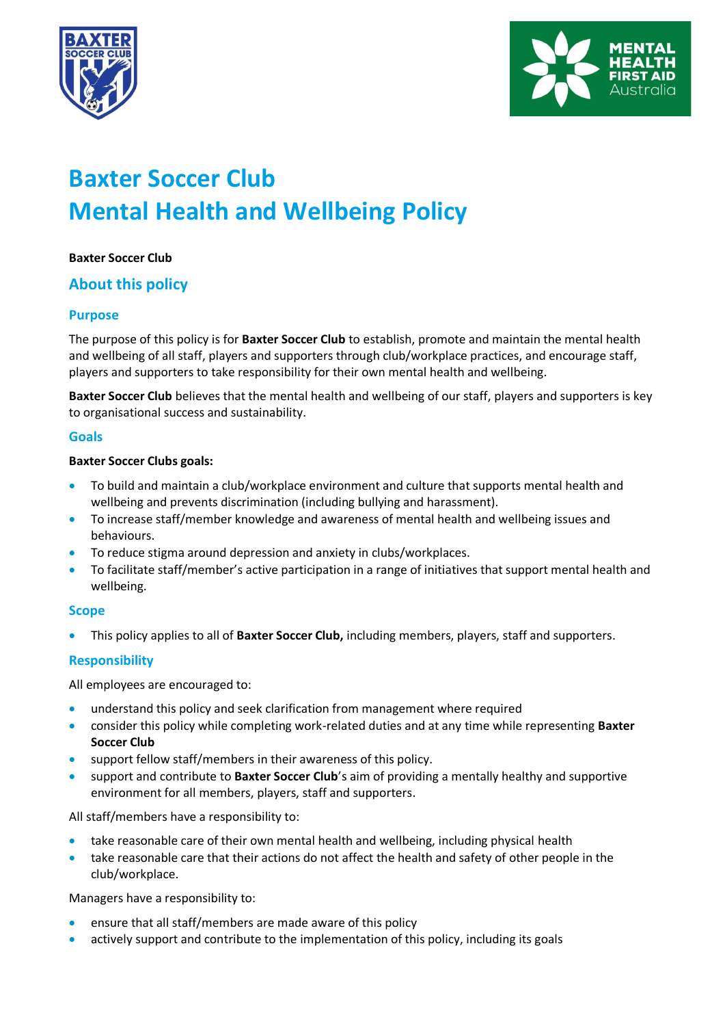



# **Baxter Soccer Club Mental Health and Wellbeing Policy**

# **Baxter Soccer Club**

# **About this policy**

# **Purpose**

The purpose of this policy is for **Baxter Soccer Club** to establish, promote and maintain the mental health and wellbeing of all staff, players and supporters through club/workplace practices, and encourage staff, players and supporters to take responsibility for their own mental health and wellbeing.

**Baxter Soccer Club** believes that the mental health and wellbeing of our staff, players and supporters is key to organisational success and sustainability.

#### **Goals**

#### **Baxter Soccer Clubs goals:**

- To build and maintain a club/workplace environment and culture that supports mental health and wellbeing and prevents discrimination (including bullying and harassment).
- To increase staff/member knowledge and awareness of mental health and wellbeing issues and behaviours.
- To reduce stigma around depression and anxiety in clubs/workplaces.
- To facilitate staff/member's active participation in a range of initiatives that support mental health and wellbeing.

#### **Scope**

• This policy applies to all of **Baxter Soccer Club,** including members, players, staff and supporters.

# **Responsibility**

All employees are encouraged to:

- understand this policy and seek clarification from management where required
- consider this policy while completing work-related duties and at any time while representing **Baxter Soccer Club**
- support fellow staff/members in their awareness of this policy.
- support and contribute to **Baxter Soccer Club**'s aim of providing a mentally healthy and supportive environment for all members, players, staff and supporters.

All staff/members have a responsibility to:

- take reasonable care of their own mental health and wellbeing, including physical health
- take reasonable care that their actions do not affect the health and safety of other people in the club/workplace.

Managers have a responsibility to:

- ensure that all staff/members are made aware of this policy
- actively support and contribute to the implementation of this policy, including its goals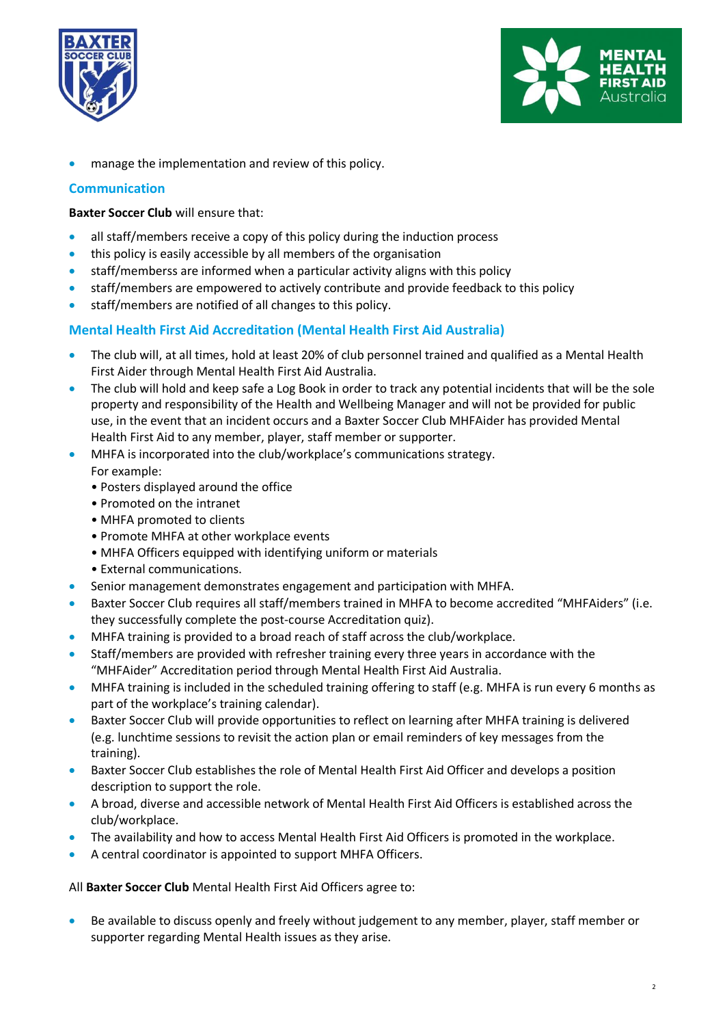



• manage the implementation and review of this policy.

#### **Communication**

**Baxter Soccer Club** will ensure that:

- all staff/members receive a copy of this policy during the induction process
- this policy is easily accessible by all members of the organisation
- staff/memberss are informed when a particular activity aligns with this policy
- staff/members are empowered to actively contribute and provide feedback to this policy
- staff/members are notified of all changes to this policy.

# **Mental Health First Aid Accreditation (Mental Health First Aid Australia)**

- The club will, at all times, hold at least 20% of club personnel trained and qualified as a Mental Health First Aider through Mental Health First Aid Australia.
- The club will hold and keep safe a Log Book in order to track any potential incidents that will be the sole property and responsibility of the Health and Wellbeing Manager and will not be provided for public use, in the event that an incident occurs and a Baxter Soccer Club MHFAider has provided Mental Health First Aid to any member, player, staff member or supporter.
- MHFA is incorporated into the club/workplace's communications strategy. For example:
	- Posters displayed around the office
	- Promoted on the intranet
	- MHFA promoted to clients
	- Promote MHFA at other workplace events
	- MHFA Officers equipped with identifying uniform or materials
	- External communications.
- Senior management demonstrates engagement and participation with MHFA.
- Baxter Soccer Club requires all staff/members trained in MHFA to become accredited "MHFAiders" (i.e. they successfully complete the post-course Accreditation quiz).
- MHFA training is provided to a broad reach of staff across the club/workplace.
- Staff/members are provided with refresher training every three years in accordance with the "MHFAider" Accreditation period through Mental Health First Aid Australia.
- MHFA training is included in the scheduled training offering to staff (e.g. MHFA is run every 6 months as part of the workplace's training calendar).
- Baxter Soccer Club will provide opportunities to reflect on learning after MHFA training is delivered (e.g. lunchtime sessions to revisit the action plan or email reminders of key messages from the training).
- Baxter Soccer Club establishes the role of Mental Health First Aid Officer and develops a position description to support the role.
- A broad, diverse and accessible network of Mental Health First Aid Officers is established across the club/workplace.
- The availability and how to access Mental Health First Aid Officers is promoted in the workplace.
- A central coordinator is appointed to support MHFA Officers.

All **Baxter Soccer Club** Mental Health First Aid Officers agree to:

• Be available to discuss openly and freely without judgement to any member, player, staff member or supporter regarding Mental Health issues as they arise.